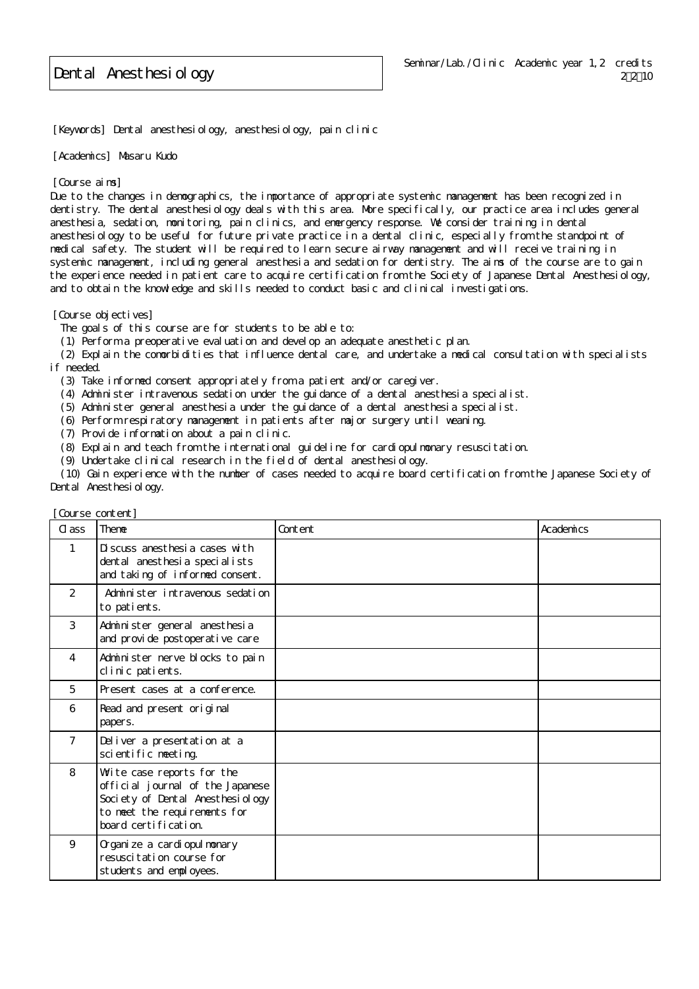Dental Anesthesiology

[Keywords] Dental anesthesiology, anesthesiology, pain clinic

[Academics] Masaru Kudo

[Course aims]

Due to the changes in demographics, the importance of appropriate systemic management has been recognized in dentistry. The dental anesthesiology deals with this area. More specifically, our practice area includes general anesthesia, sedation, monitoring, pain clinics, and emergency response. We consider training in dental anesthesiology to be useful for future private practice in a dental clinic, especially from the standpoint of medical safety. The student will be required to learn secure airway management and will receive training in systemic management, including general anesthesia and sedation for dentistry. The aims of the course are to gain the experience needed in patient care to acquire certification from the Society of Japanese Dental Anesthesiology, and to obtain the knowledge and skills needed to conduct basic and clinical investigations.

[Course objectives]

The goals of this course are for students to be able to:

(1) Perform a preoperative evaluation and develop an adequate anesthetic plan.

 (2) Explain the comorbidities that influence dental care, and undertake a medical consultation with specialists if needed.

(3) Take informed consent appropriately from a patient and/or caregiver.

(4) Administer intravenous sedation under the guidance of a dental anesthesia specialist.

- (5) Administer general anesthesia under the guidance of a dental anesthesia specialist.
- (6) Perform respiratory management in patients after major surgery until weaning.

(7) Provide information about a pain clinic.

(8) Explain and teach from the international guideline for cardiopulmonary resuscitation.

(9) Undertake clinical research in the field of dental anesthesiology.

 (10) Gain experience with the number of cases needed to acquire board certification from the Japanese Society of Dental Anesthesiology.

| C ass          | was be concerned<br>Theme                                                                                                                                  | Content | Academics |
|----------------|------------------------------------------------------------------------------------------------------------------------------------------------------------|---------|-----------|
| 1              | Di scuss anesthesi a cases with<br>dental anesthesia specialists<br>and taking of informed consent.                                                        |         |           |
| 2              | Administer intravenous sedation<br>to patients.                                                                                                            |         |           |
| 3              | Administer general anesthesia<br>and provide postoperative care                                                                                            |         |           |
| $\overline{4}$ | Administer nerve blocks to pain<br>clinic patients.                                                                                                        |         |           |
| 5              | Present cases at a conference.                                                                                                                             |         |           |
| 6              | Read and present original<br>papers.                                                                                                                       |         |           |
| $\overline{7}$ | Deliver a presentation at a<br>scientific meeting.                                                                                                         |         |           |
| 8              | Wite case reports for the<br>official journal of the Japanese<br>Society of Dental Anesthesi ology<br>to meet the requirements for<br>board certification. |         |           |
| 9              | Organi ze a cardi opul monary<br>resuscitation course for<br>students and employees.                                                                       |         |           |

[Course content]